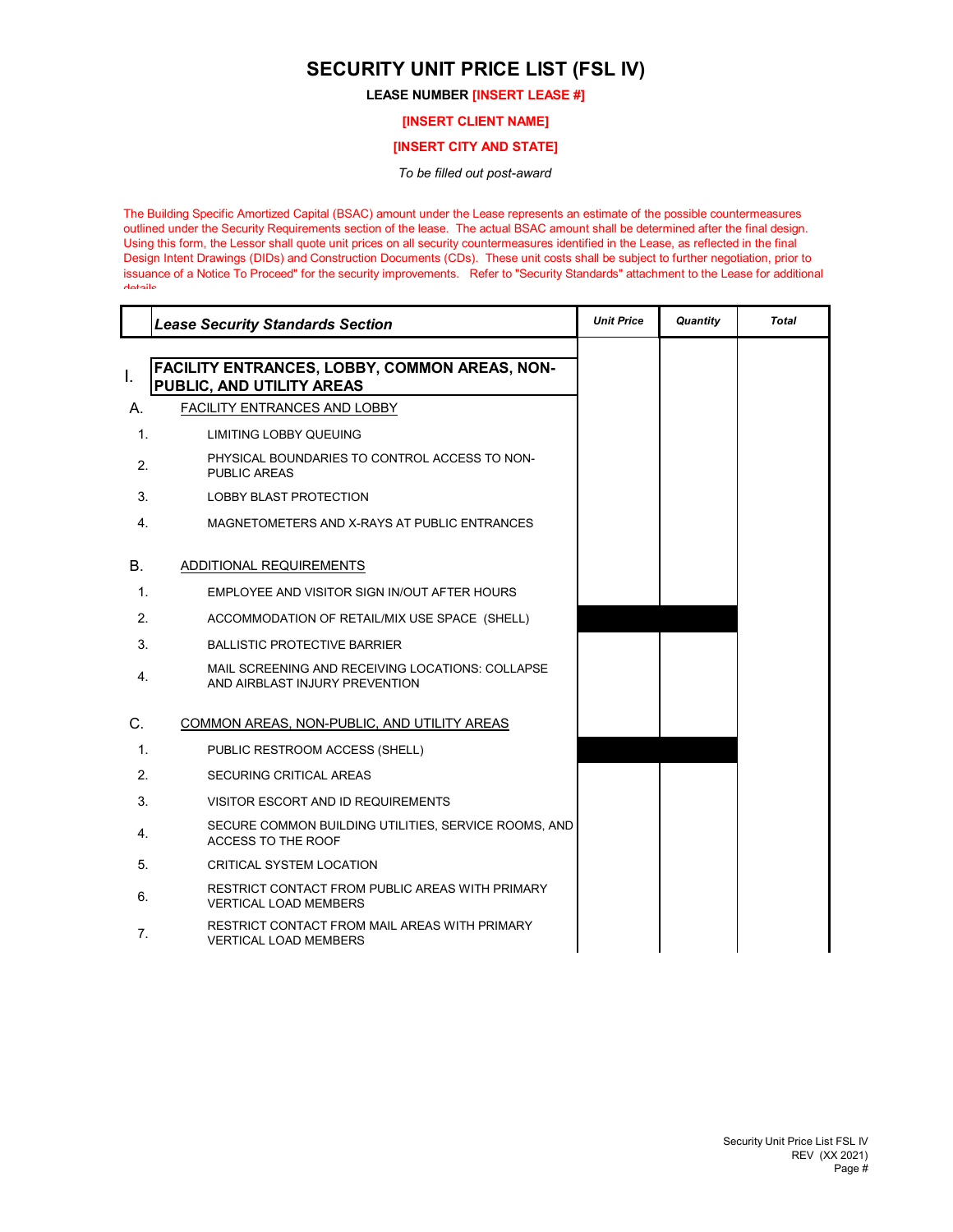## **SECURITY UNIT PRICE LIST (FSL IV)**

## **LEASE NUMBER [INSERT LEASE #]**

**[INSERT CLIENT NAME]**

## **[INSERT CITY AND STATE]**

*To be filled out post-award*

The Building Specific Amortized Capital (BSAC) amount under the Lease represents an estimate of the possible countermeasures outlined under the Security Requirements section of the lease. The actual BSAC amount shall be determined after the final design. Using this form, the Lessor shall quote unit prices on all security countermeasures identified in the Lease, as reflected in the final Design Intent Drawings (DIDs) and Construction Documents (CDs). These unit costs shall be subject to further negotiation, prior to issuance of a Notice To Proceed" for the security improvements. Refer to "Security Standards" attachment to the Lease for additional details

|                | <b>Lease Security Standards Section</b>                                            | <b>Unit Price</b> | Quantity | <b>Total</b> |
|----------------|------------------------------------------------------------------------------------|-------------------|----------|--------------|
|                | <b>FACILITY ENTRANCES, LOBBY, COMMON AREAS, NON-</b>                               |                   |          |              |
| I.             | PUBLIC, AND UTILITY AREAS                                                          |                   |          |              |
| А.             | FACILITY ENTRANCES AND LOBBY                                                       |                   |          |              |
| $\mathbf{1}$ . | <b>LIMITING LOBBY QUEUING</b>                                                      |                   |          |              |
| 2.             | PHYSICAL BOUNDARIES TO CONTROL ACCESS TO NON-<br><b>PUBLIC AREAS</b>               |                   |          |              |
| 3.             | <b>LOBBY BLAST PROTECTION</b>                                                      |                   |          |              |
| 4.             | MAGNETOMETERS AND X-RAYS AT PUBLIC ENTRANCES                                       |                   |          |              |
| В.             | ADDITIONAL REQUIREMENTS                                                            |                   |          |              |
| $\mathbf{1}$ . | EMPLOYEE AND VISITOR SIGN IN/OUT AFTER HOURS                                       |                   |          |              |
| 2.             | ACCOMMODATION OF RETAIL/MIX USE SPACE (SHELL)                                      |                   |          |              |
| 3.             | <b>BALLISTIC PROTECTIVE BARRIER</b>                                                |                   |          |              |
| 4.             | MAIL SCREENING AND RECEIVING LOCATIONS: COLLAPSE<br>AND AIRBLAST INJURY PREVENTION |                   |          |              |
| C.             | COMMON AREAS, NON-PUBLIC, AND UTILITY AREAS                                        |                   |          |              |
| 1.             | PUBLIC RESTROOM ACCESS (SHELL)                                                     |                   |          |              |
| 2.             | <b>SECURING CRITICAL AREAS</b>                                                     |                   |          |              |
| 3.             | VISITOR ESCORT AND ID REQUIREMENTS                                                 |                   |          |              |
| 4.             | SECURE COMMON BUILDING UTILITIES, SERVICE ROOMS, AND<br>ACCESS TO THE ROOF         |                   |          |              |
| 5.             | CRITICAL SYSTEM LOCATION                                                           |                   |          |              |
| 6.             | RESTRICT CONTACT FROM PUBLIC AREAS WITH PRIMARY<br><b>VERTICAL LOAD MEMBERS</b>    |                   |          |              |
| 7.             | RESTRICT CONTACT FROM MAIL AREAS WITH PRIMARY<br><b>VERTICAL LOAD MEMBERS</b>      |                   |          |              |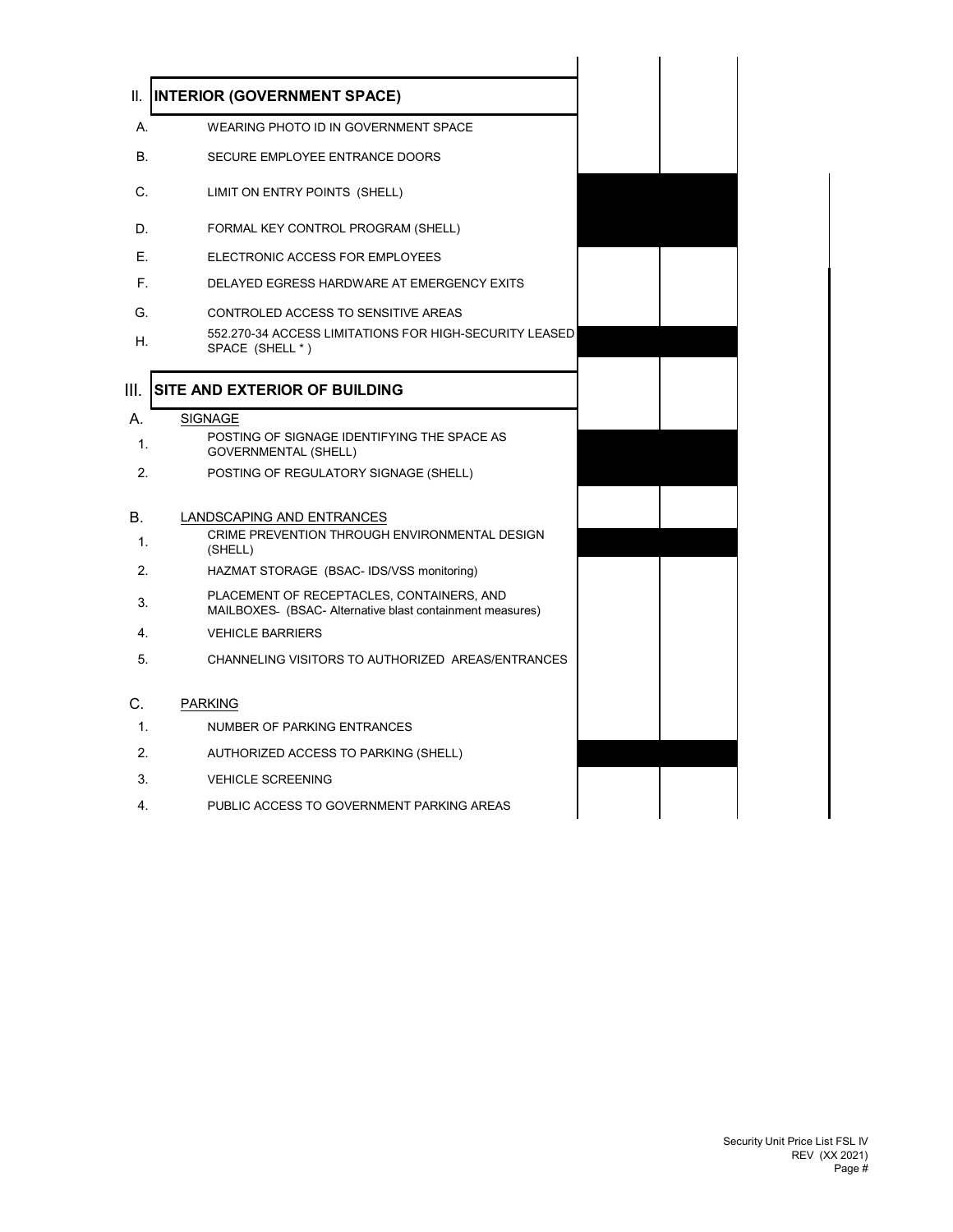| Ш.             | <b>INTERIOR (GOVERNMENT SPACE)</b>                                                                   |  |
|----------------|------------------------------------------------------------------------------------------------------|--|
| А.             | WEARING PHOTO ID IN GOVERNMENT SPACE                                                                 |  |
| В.             | SECURE EMPLOYEE ENTRANCE DOORS                                                                       |  |
| C.             | LIMIT ON ENTRY POINTS (SHELL)                                                                        |  |
| D.             | FORMAL KEY CONTROL PROGRAM (SHELL)                                                                   |  |
| Е.             | ELECTRONIC ACCESS FOR EMPLOYEES                                                                      |  |
| F.             | DELAYED EGRESS HARDWARE AT EMERGENCY EXITS                                                           |  |
| G.             | CONTROLED ACCESS TO SENSITIVE AREAS                                                                  |  |
| Η.             | 552.270-34 ACCESS LIMITATIONS FOR HIGH-SECURITY LEASED<br>SPACE (SHELL *)                            |  |
| III.           | SITE AND EXTERIOR OF BUILDING                                                                        |  |
| А.             | <b>SIGNAGE</b>                                                                                       |  |
| 1.             | POSTING OF SIGNAGE IDENTIFYING THE SPACE AS<br><b>GOVERNMENTAL (SHELL)</b>                           |  |
| 2.             | POSTING OF REGULATORY SIGNAGE (SHELL)                                                                |  |
|                |                                                                                                      |  |
| В.             | LANDSCAPING AND ENTRANCES<br>CRIME PREVENTION THROUGH ENVIRONMENTAL DESIGN                           |  |
| $\mathbf{1}$ . | (SHELL)                                                                                              |  |
| 2.             | HAZMAT STORAGE (BSAC- IDS/VSS monitoring)                                                            |  |
| 3.             | PLACEMENT OF RECEPTACLES, CONTAINERS, AND<br>MAILBOXES (BSAC-Alternative blast containment measures) |  |
| 4.             | <b>VEHICLE BARRIERS</b>                                                                              |  |
| 5.             | CHANNELING VISITORS TO AUTHORIZED AREAS/ENTRANCES                                                    |  |
| C.             | <b>PARKING</b>                                                                                       |  |
| 1.             | NUMBER OF PARKING ENTRANCES                                                                          |  |
| 2.             | AUTHORIZED ACCESS TO PARKING (SHELL)                                                                 |  |
| 3.             | <b>VEHICLE SCREENING</b>                                                                             |  |
| 4.             | PUBLIC ACCESS TO GOVERNMENT PARKING AREAS                                                            |  |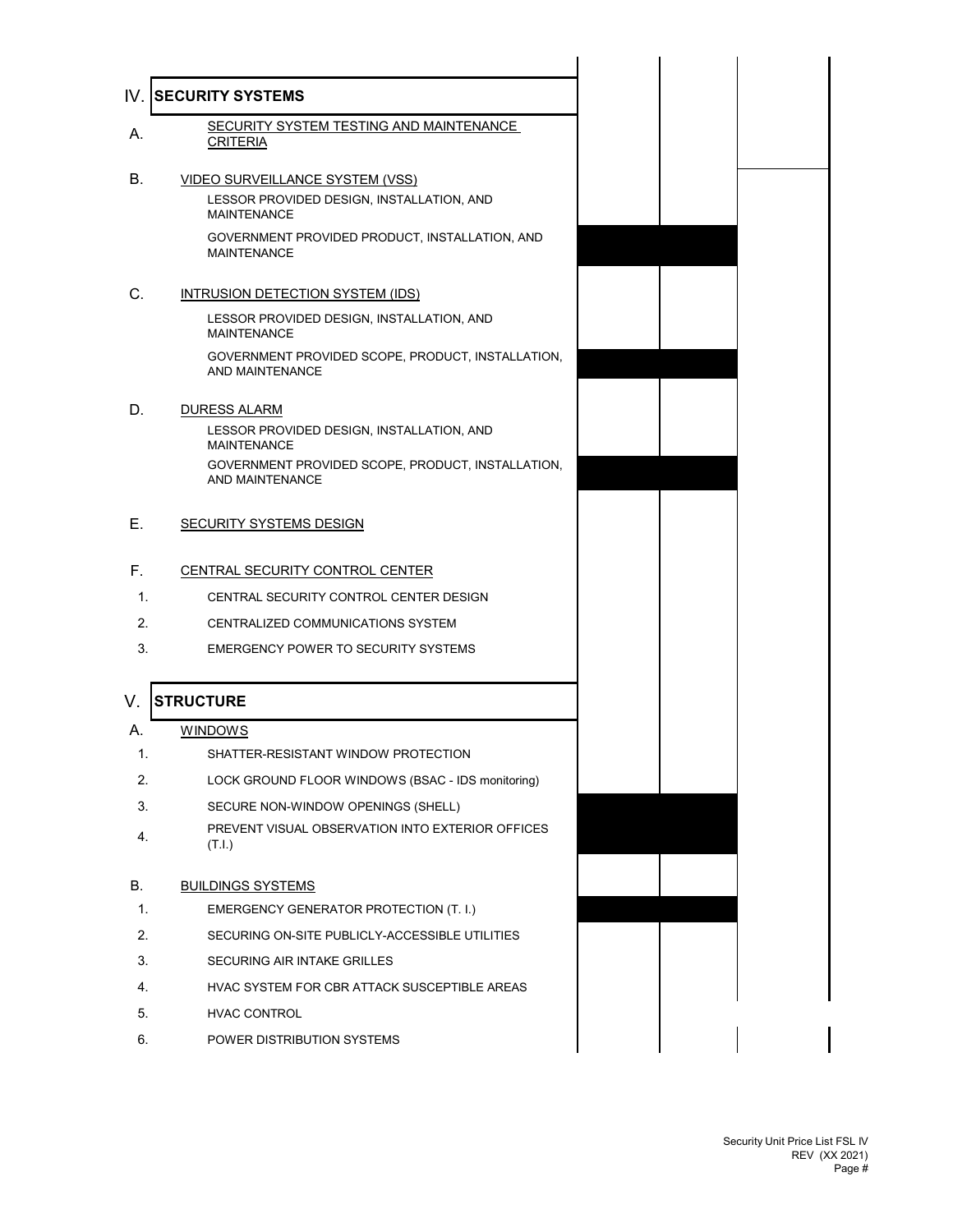|    | SECURITY SYSTEM TESTING AND MAINTENANCE<br><b>CRITERIA</b>           |
|----|----------------------------------------------------------------------|
|    | <b>VIDEO SURVEILLANCE SYSTEM (VSS)</b>                               |
|    | LESSOR PROVIDED DESIGN, INSTALLATION, AND<br><b>MAINTENANCE</b>      |
|    | GOVERNMENT PROVIDED PRODUCT, INSTALLATION, AND<br><b>MAINTENANCE</b> |
|    | INTRUSION DETECTION SYSTEM (IDS)                                     |
|    | LESSOR PROVIDED DESIGN, INSTALLATION, AND<br><b>MAINTENANCE</b>      |
|    | GOVERNMENT PROVIDED SCOPE, PRODUCT, INSTALLATION,<br>AND MAINTENANCE |
| D. | <b>DURESS ALARM</b>                                                  |
|    | LESSOR PROVIDED DESIGN, INSTALLATION, AND<br><b>MAINTENANCE</b>      |
|    | GOVERNMENT PROVIDED SCOPE, PRODUCT, INSTALLATION,<br>AND MAINTENANCE |
| Е. | <b>SECURITY SYSTEMS DESIGN</b>                                       |
| F. | CENTRAL SECURITY CONTROL CENTER                                      |
| 1. | CENTRAL SECURITY CONTROL CENTER DESIGN                               |
| 2. | CENTRALIZED COMMUNICATIONS SYSTEM                                    |
| 3. | <b>EMERGENCY POWER TO SECURITY SYSTEMS</b>                           |
| V. | <b>STRUCTURE</b>                                                     |
| А. | <b>WINDOWS</b>                                                       |
| 1. | SHATTER-RESISTANT WINDOW PROTECTION                                  |
| 2. | LOCK GROUND FLOOR WINDOWS (BSAC - IDS monitoring)                    |
| 3. | SECURE NON-WINDOW OPENINGS (SHELL)                                   |
| 4. | PREVENT VISUAL OBSERVATION INTO EXTERIOR OFFICES<br>(T.I.)           |
| В. | <b>BUILDINGS SYSTEMS</b>                                             |
| 1. | EMERGENCY GENERATOR PROTECTION (T. I.)                               |
| 2. | SECURING ON-SITE PUBLICLY-ACCESSIBLE UTILITIES                       |
| 3. | SECURING AIR INTAKE GRILLES                                          |
| 4. | HVAC SYSTEM FOR CBR ATTACK SUSCEPTIBLE AREAS                         |
| 5. | HVAC CONTROL                                                         |
| 6. | POWER DISTRIBUTION SYSTEMS                                           |